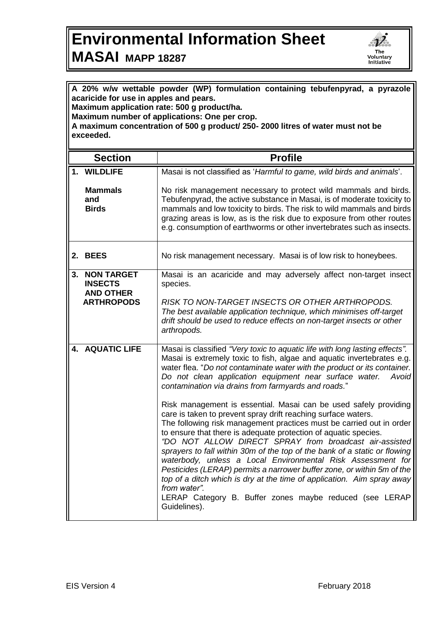## **Environmental Information Sheet MASAI MAPP 18287**



**acaricide for use in apples and pears. Maximum application rate: 500 g product/ha. Maximum number of applications: One per crop. A maximum concentration of 500 g product/ 250- 2000 litres of water must not be exceeded. Section Profile 1. WILDLIFE Mammals and Birds** Masai is not classified as '*Harmful to game, wild birds and animals*'. No risk management necessary to protect wild mammals and birds. Tebufenpyrad, the active substance in Masai, is of moderate toxicity to mammals and low toxicity to birds. The risk to wild mammals and birds grazing areas is low, as is the risk due to exposure from other routes e.g. consumption of earthworms or other invertebrates such as insects. **2. BEES** No risk management necessary. Masai is of low risk to honeybees. **3. NON TARGET INSECTS AND OTHER ARTHROPODS** Masai is an acaricide and may adversely affect non-target insect species. *RISK TO NON-TARGET INSECTS OR OTHER ARTHROPODS. The best available application technique, which minimises off-target drift should be used to reduce effects on non-target insects or other arthropods.* **4. AQUATIC LIFE** Masai is classified *"Very toxic to aquatic life with long lasting effects".*  Masai is extremely toxic to fish, algae and aquatic invertebrates e.g. water flea. "*Do not contaminate water with the product or its container. Do not clean application equipment near surface water. Avoid contamination via drains from farmyards and roads.*" Risk management is essential. Masai can be used safely providing care is taken to prevent spray drift reaching surface waters. The following risk management practices must be carried out in order to ensure that there is adequate protection of aquatic species. *"DO NOT ALLOW DIRECT SPRAY from broadcast air-assisted sprayers to fall within 30m of the top of the bank of a static or flowing waterbody, unless a Local Environmental Risk Assessment for Pesticides (LERAP) permits a narrower buffer zone, or within 5m of the top of a ditch which is dry at the time of application. Aim spray away from water".* LERAP Category B. Buffer zones maybe reduced (see LERAP Guidelines).

**A 20% w/w wettable powder (WP) formulation containing tebufenpyrad, a pyrazole**